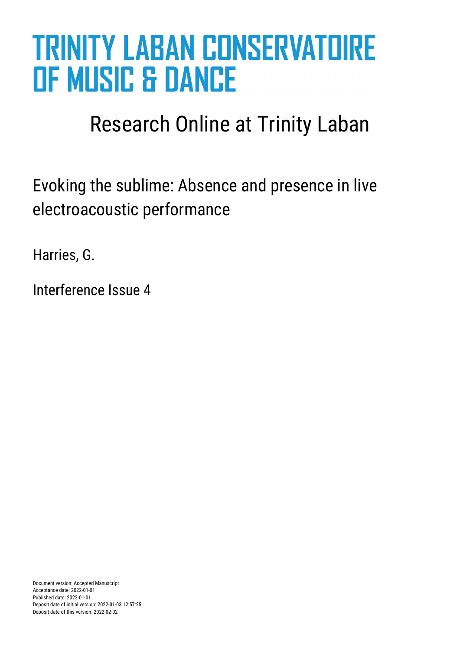# **TRINITY LABAN CONSERVATOIRE OF MUSIC & DANCE**

# Research Online at Trinity Laban

Evoking the sublime: Absence and presence in live electroacoustic performance

Harries, G.

Interference Issue 4

Document version: Accepted Manuscript Acceptance date: 2022-01-01 Published date: 2022-01-01 Deposit date of initial version: 2022-01-03 12:57:25 Deposit date of this version: 2022-02-02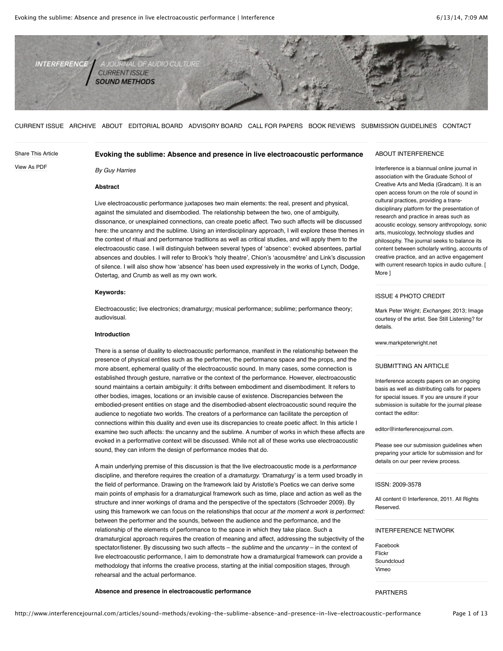

[CURRENT ISSUE](http://www.interferencejournal.com/) [ARCHIVE](http://www.interferencejournal.com/archive) [ABOUT](http://www.interferencejournal.com/about) [EDITORIAL BOARD](http://www.interferencejournal.com/editorial-board) [ADVISORY BOARD](http://www.interferencejournal.com/advisory-board) [CALL FOR PAPERS](http://www.interferencejournal.com/call-for-papers) [BOOK REVIEWS](http://www.interferencejournal.com/book-reviews) [SUBMISSION GUIDELINES](http://www.interferencejournal.com/submission-guidelines) [CONTACT](http://www.interferencejournal.com/contact)

# [Share This Article](javascript:%20void(0);) [View As PDF](http://www.interferencejournal.com/wp-content/uploads/pdf/Interference%20Journal%20-%20Evoking%20the%20sublime:%20Absence%20and%20presence%20in%20live%20electroacoustic%20performance.pdf) **Evoking the sublime: Absence and presence in live electroacoustic performance**

*By Guy Harries*

# **Abstract**

Live electroacoustic performance juxtaposes two main elements: the real, present and physical, against the simulated and disembodied. The relationship between the two, one of ambiguity, dissonance, or unexplained connections, can create poetic affect. Two such affects will be discussed here: the uncanny and the sublime. Using an interdisciplinary approach, I will explore these themes in the context of ritual and performance traditions as well as critical studies, and will apply them to the electroacoustic case. I will distinguish between several types of 'absence': evoked absentees, partial absences and doubles. I will refer to Brook's 'holy theatre', Chion's 'acousmêtre' and Link's discussion of silence. I will also show how 'absence' has been used expressively in the works of Lynch, Dodge, Ostertag, and Crumb as well as my own work.

#### **Keywords:**

Electroacoustic; live electronics; dramaturgy; musical performance; sublime; performance theory; audiovisual.

# **Introduction**

There is a sense of duality to electroacoustic performance, manifest in the relationship between the presence of physical entities such as the performer, the performance space and the props, and the more absent, ephemeral quality of the electroacoustic sound. In many cases, some connection is established through gesture, narrative or the context of the performance. However, electroacoustic sound maintains a certain ambiguity: it drifts between embodiment and disembodiment. It refers to other bodies, images, locations or an invisible cause of existence. Discrepancies between the embodied-present entities on stage and the disembodied-absent electroacoustic sound require the audience to negotiate two worlds. The creators of a performance can facilitate the perception of connections within this duality and even use its discrepancies to create poetic affect. In this article I examine two such affects: the uncanny and the sublime. A number of works in which these affects are evoked in a performative context will be discussed. While not all of these works use electroacoustic sound, they can inform the design of performance modes that do.

A main underlying premise of this discussion is that the live electroacoustic mode is a *performance* discipline, and therefore requires the creation of a *dramaturgy.* 'Dramaturgy' is a term used broadly in the field of performance. Drawing on the framework laid by Aristotle's Poetics we can derive some main points of emphasis for a dramaturgical framework such as time, place and action as well as the structure and inner workings of drama and the perspective of the spectators (Schroeder 2009). By using this framework we can focus on the relationships that occur *at the moment a work is performed:* between the performer and the sounds, between the audience and the performance, and the relationship of the elements of performance to the space in which they take place. Such a dramaturgical approach requires the creation of meaning and affect, addressing the subjectivity of the spectator/listener. By discussing two such affects – the *sublime* and the *uncanny* – in the context of live electroacoustic performance, I aim to demonstrate how a dramaturgical framework can provide a methodology that informs the creative process, starting at the initial composition stages, through rehearsal and the actual performance.

#### **Absence and presence in electroacoustic performance**

# ABOUT INTERFERENCE

Interference is a biannual online journal in association with the Graduate School of Creative Arts and Media (Gradcam). It is an open access forum on the role of sound in cultural practices, providing a transdisciplinary platform for the presentation of research and practice in areas such as acoustic ecology, sensory anthropology, sonic arts, musicology, technology studies and philosophy. The journal seeks to balance its content between scholarly writing, accounts of creative practice, and an active engagement with current research topics in audio culture. [ [More](http://www.interferencejournal.com/about) ]

# ISSUE 4 PHOTO CREDIT

Mark Peter Wright; *Exchanges*; 2013; Image courtesy of the artist. See [Still Listening?](http://www.interferencejournal.com/articles/sound-methods/still-listening) for details.

[www.markpeterwright.net](http://www.markpeterwright.net/)

#### SUBMITTING AN ARTICLE

Interference accepts papers on an ongoing basis as well as distributing calls for papers for special issues. If you are unsure if your submission is suitable for the journal please contact the editor:

[editor@interferencejournal.com.](mailto:editor@interferencejournal.com)

Please see our submission guidelines when preparing your article for submission and for details on our peer review process.

#### ISSN: 2009-3578

All content © Interference, 2011. All Rights Reserved.

# INTERFERENCE NETWORK

[Facebook](http://www.facebook.com/) [Flickr](http://www.flickr.com/) [Soundcloud](http://soundcloud.com/) [Vimeo](http://vimeo.com/)

# PARTNERS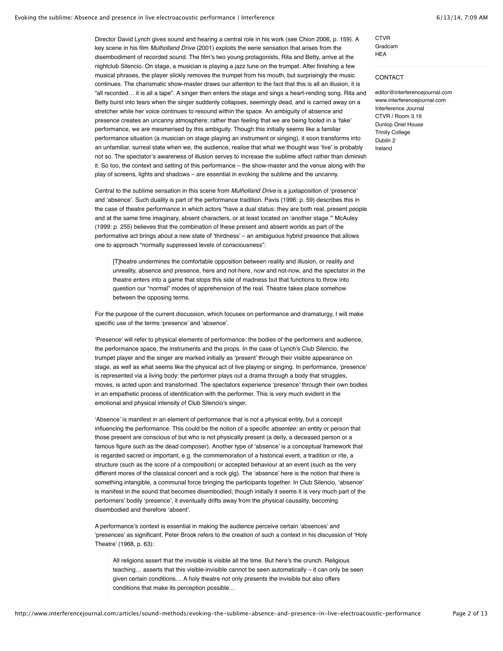Director David Lynch gives sound and hearing a central role in his work (see Chion 2006, p. 159). A key scene in his film *Mulholland Drive* (2001) exploits the eerie sensation that arises from the disembodiment of recorded sound. The film's two young protagonists, Rita and Betty, arrive at the nightclub Silencio. On stage, a musician is playing a jazz tune on the trumpet. After finishing a few musical phrases, the player slickly removes the trumpet from his mouth, but surprisingly the music continues. The charismatic show-master draws our attention to the fact that this is all an illusion, it is "all recorded… it is all a tape". A singer then enters the stage and sings a heart-rending song. Rita and Betty burst into tears when the singer suddenly collapses, seemingly dead, and is carried away on a stretcher while her voice continues to resound within the space. An ambiguity of absence and presence creates an uncanny atmosphere; rather than feeling that we are being fooled in a 'fake' performance, we are mesmerised by this ambiguity. Though this initially seems like a familiar performance situation (a musician on stage playing an instrument or singing), it soon transforms into an unfamiliar, surreal state when we, the audience, realise that what we thought was 'live' is probably not so. The spectator's awareness of illusion serves to increase the sublime affect rather than diminish it. So too, the context and setting of this performance – the show-master and the venue along with the play of screens, lights and shadows – are essential in evoking the sublime and the uncanny.

Central to the sublime sensation in this scene from *Mulholland Drive* is a juxtaposition of 'presence' and 'absence'. Such duality is part of the performance tradition. Pavis (1996: p. 59) describes this in the case of theatre performance in which actors "have a dual status: they are both real, present people and at the same time imaginary, absent characters, or at least located on 'another stage.'" McAuley (1999: p. 255) believes that the combination of these present and absent worlds as part of the performative act brings about a new state of 'thirdness' – an ambiguous hybrid presence that allows one to approach "normally suppressed levels of consciousness":

[T]heatre undermines the comfortable opposition between reality and illusion, or reality and unreality, absence and presence, here and not-here, now and not-now, and the spectator in the theatre enters into a game that stops this side of madness but that functions to throw into question our "normal" modes of apprehension of the real. Theatre takes place somehow between the opposing terms.

For the purpose of the current discussion, which focuses on performance and dramaturgy, I will make specific use of the terms 'presence' and 'absence'.

'Presence' will refer to physical elements of performance: the bodies of the performers and audience, the performance space, the instruments and the props. In the case of Lynch's Club Silencio, the trumpet player and the singer are marked initially as 'present' through their visible appearance on stage, as well as what seems like the physical act of live playing or singing. In performance, 'presence' is represented via a living body: the performer plays out a drama through a body that struggles, moves, is acted upon and transformed. The spectators experience 'presence' through their own bodies in an empathetic process of identification with the performer. This is very much evident in the emotional and physical intensity of Club Silencio's singer.

'Absence' is manifest in an element of performance that is not a physical entity, but a concept influencing the performance. This could be the notion of a specific *absentee:* an entity or person that those present are conscious of but who is not physically present (a deity, a deceased person or a famous figure such as the dead composer). Another type of 'absence' is a conceptual framework that is regarded sacred or important, e.g. the commemoration of a historical event, a tradition or rite, a structure (such as the score of a composition) or accepted behaviour at an event (such as the very different mores of the classical concert and a rock gig). The 'absence' here is the notion that there is something intangible, a communal force bringing the participants together. In Club Silencio, 'absence' is manifest in the sound that becomes disembodied; though initially it seems it is very much part of the performers' bodily 'presence', it eventually drifts away from the physical causality, becoming disembodied and therefore 'absent'.

A performance's context is essential in making the audience perceive certain 'absences' and 'presences' as significant. Peter Brook refers to the creation of such a context in his discussion of 'Holy Theatre' (1968, p. 63):

All religions assert that the invisible is visible all the time. But here's the crunch. Religious teaching… asserts that this visible-invisible cannot be seen automatically – it can only be seen given certain conditions… A holy theatre not only presents the invisible but also offers conditions that make its perception possible…

[Gradcam](http://www.gradcam.ie/)

# CONTACT

**[CTVR](http://www.ctvr.ie/)** 

**[HEA](http://www.hea.ie/)** 

[editor@interferencejournal.com](mailto:editor@interferencejournal.com) [www.interferencejournal.com](http://www.interferencejournal.com/) Interference Journal CTVR / Room 3.19 Dunlop Oriel House Trinity College Dublin 2 Ireland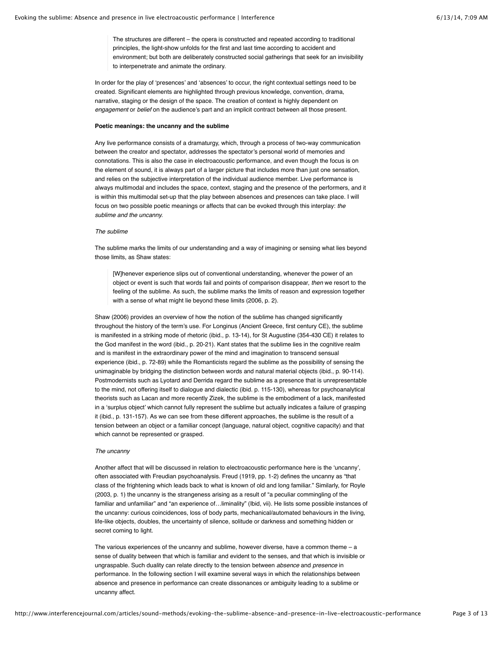The structures are different – the opera is constructed and repeated according to traditional principles, the light-show unfolds for the first and last time according to accident and environment; but both are deliberately constructed social gatherings that seek for an invisibility to interpenetrate and animate the ordinary.

In order for the play of 'presences' and 'absences' to occur, the right contextual settings need to be created. Significant elements are highlighted through previous knowledge, convention, drama, narrative, staging or the design of the space. The creation of context is highly dependent on *engagement* or *belief* on the audience's part and an implicit contract between all those present.

# **Poetic meanings: the uncanny and the sublime**

Any live performance consists of a dramaturgy, which, through a process of two-way communication between the creator and spectator, addresses the spectator's personal world of memories and connotations. This is also the case in electroacoustic performance, and even though the focus is on the element of sound, it is always part of a larger picture that includes more than just one sensation, and relies on the subjective interpretation of the individual audience member. Live performance is always multimodal and includes the space, context, staging and the presence of the performers, and it is within this multimodal set-up that the play between absences and presences can take place. I will focus on two possible poetic meanings or affects that can be evoked through this interplay: *the sublime and the uncanny.*

#### *The sublime*

The sublime marks the limits of our understanding and a way of imagining or sensing what lies beyond those limits, as Shaw states:

[W]henever experience slips out of conventional understanding, whenever the power of an object or event is such that words fail and points of comparison disappear, *then* we resort to the feeling of the sublime. As such, the sublime marks the limits of reason and expression together with a sense of what might lie beyond these limits (2006, p. 2).

Shaw (2006) provides an overview of how the notion of the sublime has changed significantly throughout the history of the term's use. For Longinus (Ancient Greece, first century CE), the sublime is manifested in a striking mode of rhetoric (ibid., p. 13-14), for St Augustine (354-430 CE) it relates to the God manifest in the word (ibid., p. 20-21). Kant states that the sublime lies in the cognitive realm and is manifest in the extraordinary power of the mind and imagination to transcend sensual experience (ibid., p. 72-89) while the Romanticists regard the sublime as the possibility of sensing the unimaginable by bridging the distinction between words and natural material objects (ibid., p. 90-114). Postmodernists such as Lyotard and Derrida regard the sublime as a presence that is unrepresentable to the mind, not offering itself to dialogue and dialectic (ibid. p. 115-130), whereas for psychoanalytical theorists such as Lacan and more recently Zizek, the sublime is the embodiment of a lack, manifested in a 'surplus object' which cannot fully represent the sublime but actually indicates a failure of grasping it (ibid., p. 131-157). As we can see from these different approaches, the sublime is the result of a tension between an object or a familiar concept (language, natural object, cognitive capacity) and that which cannot be represented or grasped.

# *The uncanny*

Another affect that will be discussed in relation to electroacoustic performance here is the 'uncanny', often associated with Freudian psychoanalysis. Freud (1919, pp. 1-2) defines the uncanny as "that class of the frightening which leads back to what is known of old and long familiar." Similarly, for Royle (2003, p. 1) the uncanny is the strangeness arising as a result of "a peculiar commingling of the familiar and unfamiliar" and "an experience of…liminality" (Ibid, vii). He lists some possible instances of the uncanny: curious coincidences, loss of body parts, mechanical/automated behaviours in the living, life-like objects, doubles, the uncertainty of silence, solitude or darkness and something hidden or secret coming to light.

The various experiences of the uncanny and sublime, however diverse, have a common theme – a sense of duality between that which is familiar and evident to the senses, and that which is invisible or ungraspable. Such duality can relate directly to the tension between *absence* and *presence* in performance. In the following section I will examine several ways in which the relationships between absence and presence in performance can create dissonances or ambiguity leading to a sublime or uncanny affect.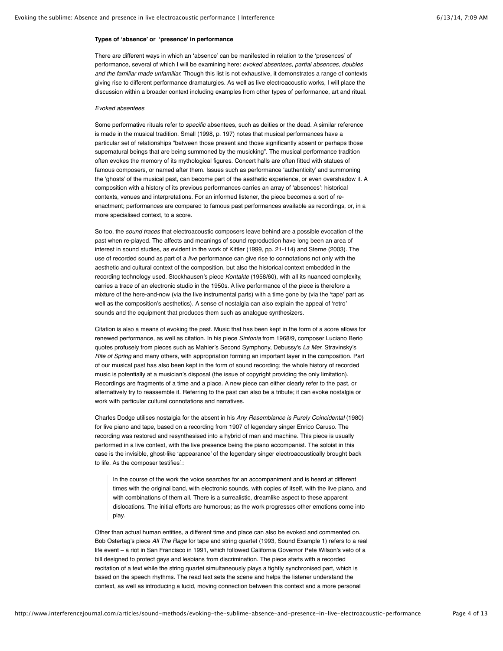# **Types of 'absence' or 'presence' in performance**

There are different ways in which an 'absence' can be manifested in relation to the 'presences' of performance, several of which I will be examining here: *evoked absentees, partial absences, doubles and the familiar made unfamiliar.* Though this list is not exhaustive, it demonstrates a range of contexts giving rise to different performance dramaturgies. As well as live electroacoustic works, I will place the discussion within a broader context including examples from other types of performance, art and ritual.

# *Evoked absentees*

Some performative rituals refer to *specific* absentees, such as deities or the dead. A similar reference is made in the musical tradition. Small (1998, p. 197) notes that musical performances have a particular set of relationships "between those present and those significantly absent or perhaps those supernatural beings that are being summoned by the musicking". The musical performance tradition often evokes the memory of its mythological figures. Concert halls are often fitted with statues of famous composers, or named after them. Issues such as performance 'authenticity' and summoning the 'ghosts' of the musical past, can become part of the aesthetic experience, or even overshadow it. A composition with a history of its previous performances carries an array of 'absences': historical contexts, venues and interpretations. For an informed listener, the piece becomes a sort of reenactment; performances are compared to famous past performances available as recordings, or, in a more specialised context, to a score.

So too, the *sound traces* that electroacoustic composers leave behind are a possible evocation of the past when re-played. The affects and meanings of sound reproduction have long been an area of interest in sound studies, as evident in the work of Kittler (1999, pp. 21-114) and Sterne (2003). The use of recorded sound as part of a *live* performance can give rise to connotations not only with the aesthetic and cultural context of the composition, but also the historical context embedded in the recording technology used. Stockhausen's piece *Kontakte* (1958/60), with all its nuanced complexity, carries a trace of an electronic studio in the 1950s. A live performance of the piece is therefore a mixture of the here-and-now (via the live instrumental parts) with a time gone by (via the 'tape' part as well as the composition's aesthetics). A sense of nostalgia can also explain the appeal of 'retro' sounds and the equipment that produces them such as analogue synthesizers.

Citation is also a means of evoking the past. Music that has been kept in the form of a score allows for renewed performance, as well as citation. In his piece *Sinfonia* from 1968/9, composer Luciano Berio quotes profusely from pieces such as Mahler's Second Symphony, Debussy's *La Mer,* Stravinsky's *Rite of Spring* and many others, with appropriation forming an important layer in the composition. Part of our musical past has also been kept in the form of sound recording; the whole history of recorded music is potentially at a musician's disposal (the issue of copyright providing the only limitation). Recordings are fragments of a time and a place. A new piece can either clearly refer to the past, or alternatively try to reassemble it. Referring to the past can also be a tribute; it can evoke nostalgia or work with particular cultural connotations and narratives.

Charles Dodge utilises nostalgia for the absent in his *Any Resemblance is Purely Coincidental* (1980) for live piano and tape, based on a recording from 1907 of legendary singer Enrico Caruso. The recording was restored and resynthesised into a hybrid of man and machine. This piece is usually performed in a live context, with the live presence being the piano accompanist. The soloist in this case is the invisible, ghost-like 'appearance' of the legendary singer electroacoustically brought back to life. As the composer testifies<sup>1</sup>:

In the course of the work the voice searches for an accompaniment and is heard at different times with the original band, with electronic sounds, with copies of itself, with the live piano, and with combinations of them all. There is a surrealistic, dreamlike aspect to these apparent dislocations. The initial efforts are humorous; as the work progresses other emotions come into play.

Other than actual human entities, a different time and place can also be evoked and commented on. Bob Ostertag's piece *All The Rage* for tape and string quartet (1993, Sound Example 1) refers to a real life event – a riot in San Francisco in 1991, which followed California Governor Pete Wilson's veto of a bill designed to protect gays and lesbians from discrimination. The piece starts with a recorded recitation of a text while the string quartet simultaneously plays a tightly synchronised part, which is based on the speech rhythms. The read text sets the scene and helps the listener understand the context, as well as introducing a lucid, moving connection between this context and a more personal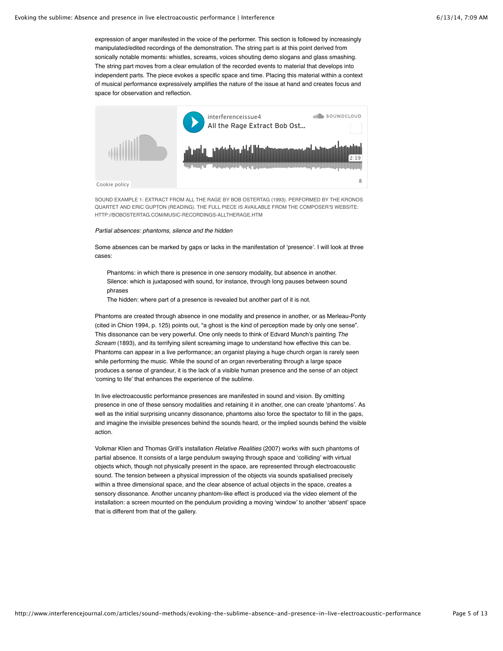expression of anger manifested in the voice of the performer. This section is followed by increasingly manipulated/edited recordings of the demonstration. The string part is at this point derived from sonically notable moments: whistles, screams, voices shouting demo slogans and glass smashing. The string part moves from a clear emulation of the recorded events to material that develops into independent parts. The piece evokes a specific space and time. Placing this material within a context of musical performance expressively amplifies the nature of the issue at hand and creates focus and space for observation and reflection.



SOUND EXAMPLE 1: EXTRACT FROM ALL THE RAGE BY BOB OSTERTAG (1993). PERFORMED BY THE KRONOS QUARTET AND ERIC GUPTON (READING). THE FULL PIECE IS AVAILABLE FROM THE COMPOSER'S WEBSITE: HTTP://BOBOSTERTAG.COM/MUSIC-RECORDINGS-ALLTHERAGE.HTM

# *Partial absences: phantoms, silence and the hidden*

Some absences can be marked by gaps or lacks in the manifestation of 'presence'. I will look at three cases:

Phantoms: in which there is presence in one sensory modality, but absence in another. Silence: which is juxtaposed with sound, for instance, through long pauses between sound phrases

The hidden: where part of a presence is revealed but another part of it is not.

Phantoms are created through absence in one modality and presence in another, or as Merleau-Ponty (cited in Chion 1994, p. 125) points out, "a ghost is the kind of perception made by only one sense". This dissonance can be very powerful. One only needs to think of Edvard Munch's painting *The Scream* (1893), and its terrifying silent screaming image to understand how effective this can be. Phantoms can appear in a live performance; an organist playing a huge church organ is rarely seen while performing the music. While the sound of an organ reverberating through a large space produces a sense of grandeur, it is the lack of a visible human presence and the sense of an object 'coming to life' that enhances the experience of the sublime.

In live electroacoustic performance presences are manifested in sound and vision. By omitting presence in one of these sensory modalities and retaining it in another, one can create 'phantoms'. As well as the initial surprising uncanny dissonance, phantoms also force the spectator to fill in the gaps, and imagine the invisible presences behind the sounds heard, or the implied sounds behind the visible action.

Volkmar Klien and Thomas Grill's installation *Relative Realities* (2007) works with such phantoms of partial absence. It consists of a large pendulum swaying through space and 'colliding' with virtual objects which, though not physically present in the space, are represented through electroacoustic sound. The tension between a physical impression of the objects via sounds spatialised precisely within a three dimensional space, and the clear absence of actual objects in the space, creates a sensory dissonance. Another uncanny phantom-like effect is produced via the video element of the installation: a screen mounted on the pendulum providing a moving 'window' to another 'absent' space that is different from that of the gallery.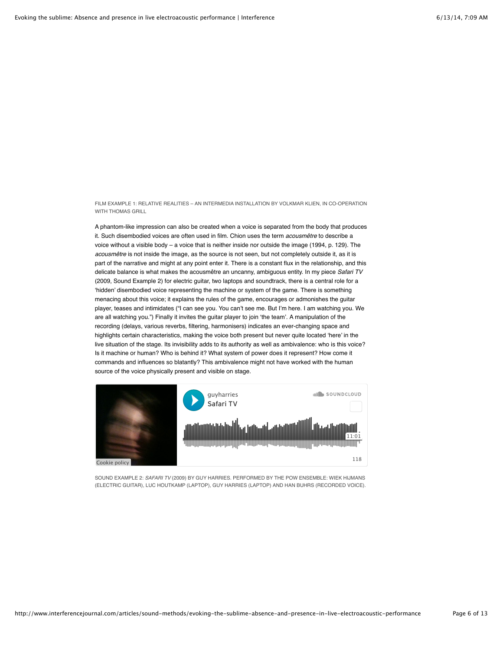FILM EXAMPLE 1: RELATIVE REALITIES – AN INTERMEDIA INSTALLATION BY VOLKMAR KLIEN, IN CO-OPERATION WITH THOMAS GRILL

A phantom-like impression can also be created when a voice is separated from the body that produces it. Such disembodied voices are often used in film. Chion uses the term *acousmêtre* to describe a voice without a visible body – a voice that is neither inside nor outside the image (1994, p. 129). The *acousmêtre* is not inside the image, as the source is not seen, but not completely outside it, as it is part of the narrative and might at any point enter it. There is a constant flux in the relationship, and this delicate balance is what makes the acousmêtre an uncanny, ambiguous entity. In my piece *Safari TV* (2009, Sound Example 2) for electric guitar, two laptops and soundtrack, there is a central role for a 'hidden' disembodied voice representing the machine or system of the game. There is something menacing about this voice; it explains the rules of the game, encourages or admonishes the guitar player, teases and intimidates ("I can see you. You can't see me. But I'm here. I am watching you. We are all watching you.") Finally it invites the guitar player to join 'the team'. A manipulation of the recording (delays, various reverbs, filtering, harmonisers) indicates an ever-changing space and highlights certain characteristics, making the voice both present but never quite located 'here' in the live situation of the stage. Its invisibility adds to its authority as well as ambivalence: who is this voice? Is it machine or human? Who is behind it? What system of power does it represent? How come it commands and influences so blatantly? This ambivalence might not have worked with the human source of the voice physically present and visible on stage.



SOUND EXAMPLE 2: *SAFARI TV* (2009) BY GUY HARRIES. PERFORMED BY THE POW ENSEMBLE: WIEK HIJMANS (ELECTRIC GUITAR), LUC HOUTKAMP (LAPTOP), GUY HARRIES (LAPTOP) AND HAN BUHRS (RECORDED VOICE).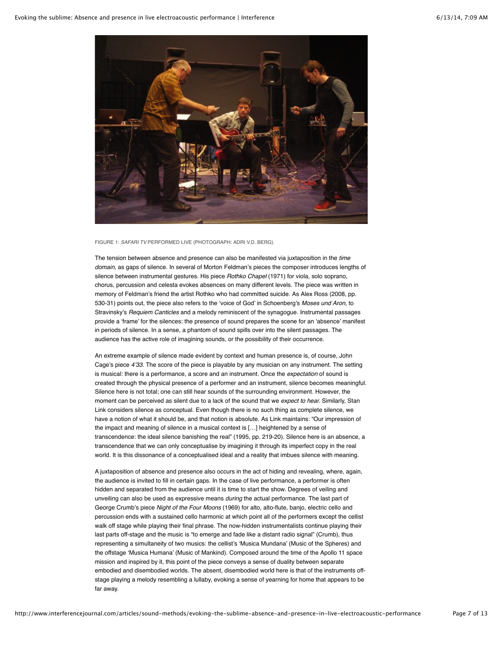

FIGURE 1: *SAFARI TV* PERFORMED LIVE (PHOTOGRAPH: ADRI V.D. BERG).

The tension between absence and presence can also be manifested via juxtaposition in the *time domain,* as gaps of silence. In several of Morton Feldman's pieces the composer introduces lengths of silence between instrumental gestures. His piece *Rothko Chapel* (1971) for viola, solo soprano, chorus, percussion and celesta evokes absences on many different levels. The piece was written in memory of Feldman's friend the artist Rothko who had committed suicide. As Alex Ross (2008, pp. 530-31) points out, the piece also refers to the 'voice of God' in Schoenberg's *Moses und Aron,* to Stravinsky's *Requiem Canticles* and a melody reminiscent of the synagogue. Instrumental passages provide a 'frame' for the silences: the presence of sound prepares the scene for an 'absence' manifest in periods of silence. In a sense, a phantom of sound spills over into the silent passages. The audience has the active role of imagining sounds, or the possibility of their occurrence.

An extreme example of silence made evident by context and human presence is, of course, John Cage's piece *4'33.* The score of the piece is playable by any musician on any instrument. The setting is musical: there is a performance, a score and an instrument. Once the *expectation* of sound is created through the physical presence of a performer and an instrument, silence becomes meaningful. Silence here is not total; one can still hear sounds of the surrounding environment. However, the moment can be perceived as silent due to a lack of the sound that we *expect to hear.* Similarly, Stan Link considers silence as conceptual. Even though there is no such thing as complete silence, we have a notion of what it should be, and that notion is absolute. As Link maintains: "Our impression of the impact and meaning of silence in a musical context is […] heightened by a sense of transcendence: the ideal silence banishing the real" (1995, pp. 219-20). Silence here is an absence, a transcendence that we can only conceptualise by imagining it through its imperfect copy in the real world. It is this dissonance of a conceptualised ideal and a reality that imbues silence with meaning.

A juxtaposition of absence and presence also occurs in the act of hiding and revealing, where, again, the audience is invited to fill in certain gaps. In the case of live performance, a performer is often hidden and separated from the audience until it is time to start the show. Degrees of veiling and unveiling can also be used as expressive means *during* the actual performance. The last part of George Crumb's piece *Night of the Four Moons* (1969) for alto, alto-flute, banjo, electric cello and percussion ends with a sustained cello harmonic at which point all of the performers except the cellist walk off stage while playing their final phrase. The now-hidden instrumentalists continue playing their last parts off-stage and the music is "to emerge and fade like a distant radio signal" (Crumb), thus representing a simultaneity of two musics: the cellist's 'Musica Mundana' (Music of the Spheres) and the offstage 'Musica Humana' (Music of Mankind). Composed around the time of the Apollo 11 space mission and inspired by it, this point of the piece conveys a sense of duality between separate embodied and disembodied worlds. The absent, disembodied world here is that of the instruments offstage playing a melody resembling a lullaby, evoking a sense of yearning for home that appears to be far away.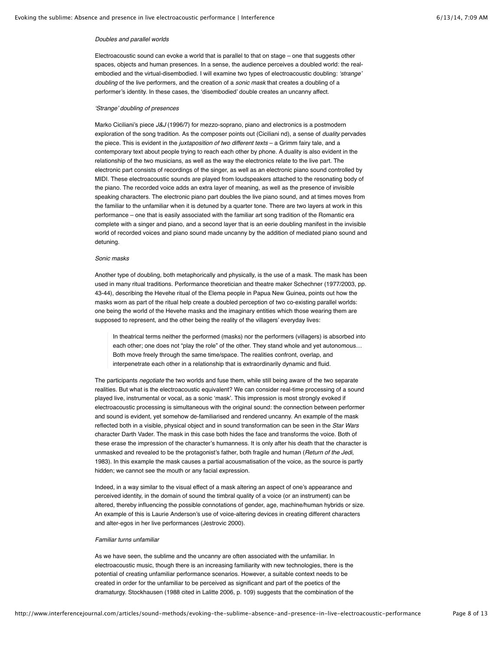# *Doubles and parallel worlds*

Electroacoustic sound can evoke a world that is parallel to that on stage – one that suggests other spaces, objects and human presences. In a sense, the audience perceives a doubled world: the realembodied and the virtual-disembodied. I will examine two types of electroacoustic doubling: *'strange' doubling* of the live performers, and the creation of a *sonic mask* that creates a doubling of a performer's identity. In these cases, the 'disembodied' double creates an uncanny affect.

# *'Strange' doubling of presences*

Marko Ciciliani's piece *J&J* (1996/7) for mezzo-soprano, piano and electronics is a postmodern exploration of the song tradition. As the composer points out (Ciciliani nd), a sense of *duality* pervades the piece. This is evident in the *juxtaposition of two different texts* – a Grimm fairy tale, and a contemporary text about people trying to reach each other by phone. A duality is also evident in the relationship of the two musicians, as well as the way the electronics relate to the live part. The electronic part consists of recordings of the singer, as well as an electronic piano sound controlled by MIDI. These electroacoustic sounds are played from loudspeakers attached to the resonating body of the piano. The recorded voice adds an extra layer of meaning, as well as the presence of invisible speaking characters. The electronic piano part doubles the live piano sound, and at times moves from the familiar to the unfamiliar when it is detuned by a quarter tone. There are two layers at work in this performance – one that is easily associated with the familiar art song tradition of the Romantic era complete with a singer and piano, and a second layer that is an eerie doubling manifest in the invisible world of recorded voices and piano sound made uncanny by the addition of mediated piano sound and detuning.

# *Sonic masks*

Another type of doubling, both metaphorically and physically, is the use of a mask. The mask has been used in many ritual traditions. Performance theoretician and theatre maker Schechner (1977/2003, pp. 43-44), describing the Hevehe ritual of the Elema people in Papua New Guinea, points out how the masks worn as part of the ritual help create a doubled perception of two co-existing parallel worlds: one being the world of the Hevehe masks and the imaginary entities which those wearing them are supposed to represent, and the other being the reality of the villagers' everyday lives:

In theatrical terms neither the performed (masks) nor the performers (villagers) is absorbed into each other; one does not "play the role" of the other. They stand whole and yet autonomous… Both move freely through the same time/space. The realities confront, overlap, and interpenetrate each other in a relationship that is extraordinarily dynamic and fluid.

The participants *negotiate* the two worlds and fuse them, while still being aware of the two separate realities. But what is the electroacoustic equivalent? We can consider real-time processing of a sound played live, instrumental or vocal, as a sonic 'mask'. This impression is most strongly evoked if electroacoustic processing is simultaneous with the original sound: the connection between performer and sound is evident, yet somehow de-familiarised and rendered uncanny. An example of the mask reflected both in a visible, physical object and in sound transformation can be seen in the *Star Wars* character Darth Vader. The mask in this case both hides the face and transforms the voice. Both of these erase the impression of the character's humanness. It is only after his death that the character is unmasked and revealed to be the protagonist's father, both fragile and human (*Return of the Jedi,* 1983). In this example the mask causes a partial acousmatisation of the voice, as the source is partly hidden; we cannot see the mouth or any facial expression.

Indeed, in a way similar to the visual effect of a mask altering an aspect of one's appearance and perceived identity, in the domain of sound the timbral quality of a voice (or an instrument) can be altered, thereby influencing the possible connotations of gender, age, machine/human hybrids or size. An example of this is Laurie Anderson's use of voice-altering devices in creating different characters and alter-egos in her live performances (Jestrovic 2000).

#### *Familiar turns unfamiliar*

As we have seen, the sublime and the uncanny are often associated with the unfamiliar. In electroacoustic music, though there is an increasing familiarity with new technologies, there is the potential of creating unfamiliar performance scenarios. However, a suitable context needs to be created in order for the unfamiliar to be perceived as significant and part of the poetics of the dramaturgy. Stockhausen (1988 cited in Lalitte 2006, p. 109) suggests that the combination of the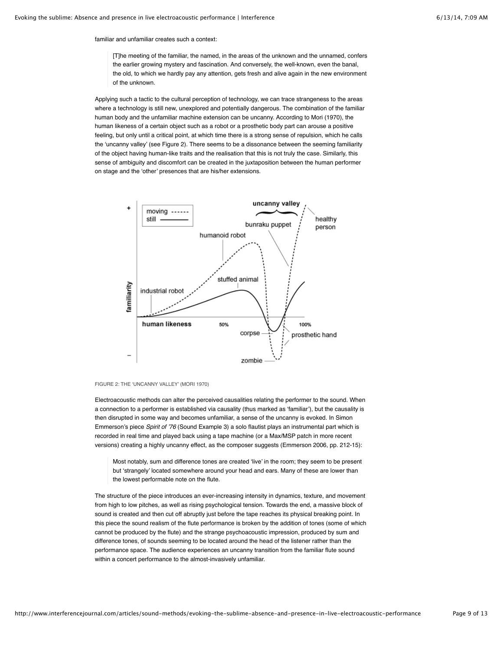familiar and unfamiliar creates such a context:

[T]he meeting of the familiar, the named, in the areas of the unknown and the unnamed, confers the earlier growing mystery and fascination. And conversely, the well-known, even the banal, the old, to which we hardly pay any attention, gets fresh and alive again in the new environment of the unknown.

Applying such a tactic to the cultural perception of technology, we can trace strangeness to the areas where a technology is still new, unexplored and potentially dangerous. The combination of the familiar human body and the unfamiliar machine extension can be uncanny. According to Mori (1970), the human likeness of a certain object such as a robot or a prosthetic body part can arouse a positive feeling, but only until a critical point, at which time there is a strong sense of repulsion, which he calls the 'uncanny valley' (see Figure 2). There seems to be a dissonance between the seeming familiarity of the object having human-like traits and the realisation that this is not truly the case. Similarly, this sense of ambiguity and discomfort can be created in the juxtaposition between the human performer on stage and the 'other' presences that are his/her extensions.





Electroacoustic methods can alter the perceived causalities relating the performer to the sound. When a connection to a performer is established via causality (thus marked as 'familiar'), but the causality is then disrupted in some way and becomes unfamiliar, a sense of the uncanny is evoked. In Simon Emmerson's piece *Spirit of '76* (Sound Example 3) a solo flautist plays an instrumental part which is recorded in real time and played back using a tape machine (or a Max/MSP patch in more recent versions) creating a highly uncanny effect, as the composer suggests (Emmerson 2006, pp. 212-15):

Most notably, sum and difference tones are created 'live' in the room; they seem to be present but 'strangely' located somewhere around your head and ears. Many of these are lower than the lowest performable note on the flute.

The structure of the piece introduces an ever-increasing intensity in dynamics, texture, and movement from high to low pitches, as well as rising psychological tension. Towards the end, a massive block of sound is created and then cut off abruptly just before the tape reaches its physical breaking point. In this piece the sound realism of the flute performance is broken by the addition of tones (some of which cannot be produced by the flute) and the strange psychoacoustic impression, produced by sum and difference tones, of sounds seeming to be located around the head of the listener rather than the performance space. The audience experiences an uncanny transition from the familiar flute sound within a concert performance to the almost-invasively unfamiliar.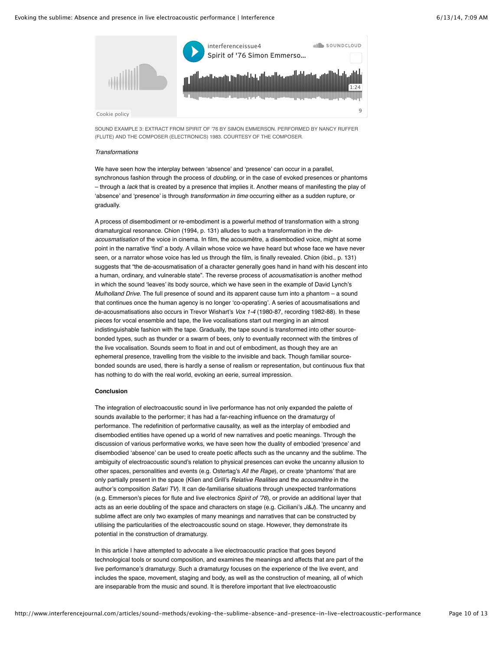

SOUND EXAMPLE 3: EXTRACT FROM SPIRIT OF '76 BY SIMON EMMERSON. PERFORMED BY NANCY RUFFER (FLUTE) AND THE COMPOSER (ELECTRONICS) 1983. COURTESY OF THE COMPOSER.

# *Transformations*

We have seen how the interplay between 'absence' and 'presence' can occur in a parallel, synchronous fashion through the process of *doubling,* or in the case of evoked presences or phantoms – through a *lack* that is created by a presence that implies it. Another means of manifesting the play of 'absence' and 'presence' is through *transformation in time* occurring either as a sudden rupture, or gradually.

A process of disembodiment or re-embodiment is a powerful method of transformation with a strong dramaturgical resonance. Chion (1994, p. 131) alludes to such a transformation in the *deacousmatisation* of the voice in cinema. In film, the acousmêtre, a disembodied voice, might at some point in the narrative 'find' a body. A villain whose voice we have heard but whose face we have never seen, or a narrator whose voice has led us through the film, is finally revealed. Chion (ibid., p. 131) suggests that "the de-acousmatisation of a character generally goes hand in hand with his descent into a human, ordinary, and vulnerable state". The reverse process of *acousmatisation* is another method in which the sound 'leaves' its body source, which we have seen in the example of David Lynch's *Mulholland Drive.* The full presence of sound and its apparent cause turn into a phantom – a sound that continues once the human agency is no longer 'co-operating'. A series of acousmatisations and de-acousmatisations also occurs in Trevor Wishart's *Vox 1-4* (1980-87, recording 1982-88). In these pieces for vocal ensemble and tape, the live vocalisations start out merging in an almost indistinguishable fashion with the tape. Gradually, the tape sound is transformed into other sourcebonded types, such as thunder or a swarm of bees, only to eventually reconnect with the timbres of the live vocalisation. Sounds seem to float in and out of embodiment, as though they are an ephemeral presence, travelling from the visible to the invisible and back. Though familiar sourcebonded sounds are used, there is hardly a sense of realism or representation, but continuous flux that has nothing to do with the real world, evoking an eerie, surreal impression.

#### **Conclusion**

The integration of electroacoustic sound in live performance has not only expanded the palette of sounds available to the performer; it has had a far-reaching influence on the dramaturgy of performance. The redefinition of performative causality, as well as the interplay of embodied and disembodied entities have opened up a world of new narratives and poetic meanings. Through the discussion of various performative works, we have seen how the duality of embodied 'presence' and disembodied 'absence' can be used to create poetic affects such as the uncanny and the sublime. The ambiguity of electroacoustic sound's relation to physical presences can evoke the uncanny allusion to other spaces, personalities and events (e.g. Ostertag's *All the Rage*), or create 'phantoms' that are only partially present in the space (Klien and Grill's *Relative Realities* and the *acousmêtre* in the author's composition *Safari TV*). It can de-familiarise situations through unexpected tranformations (e.g. Emmerson's pieces for flute and live electronics *Spirit of '76*), or provide an additional layer that acts as an eerie doubling of the space and characters on stage (e.g. Ciciliani's *J&J*). The uncanny and sublime affect are only two examples of many meanings and narratives that can be constructed by utilising the particularities of the electroacoustic sound on stage. However, they demonstrate its potential in the construction of dramaturgy.

In this article I have attempted to advocate a live electroacoustic practice that goes beyond technological tools or sound composition, and examines the meanings and affects that are part of the live performance's dramaturgy. Such a dramaturgy focuses on the experience of the live event, and includes the space, movement, staging and body, as well as the construction of meaning, all of which are inseparable from the music and sound. It is therefore important that live electroacoustic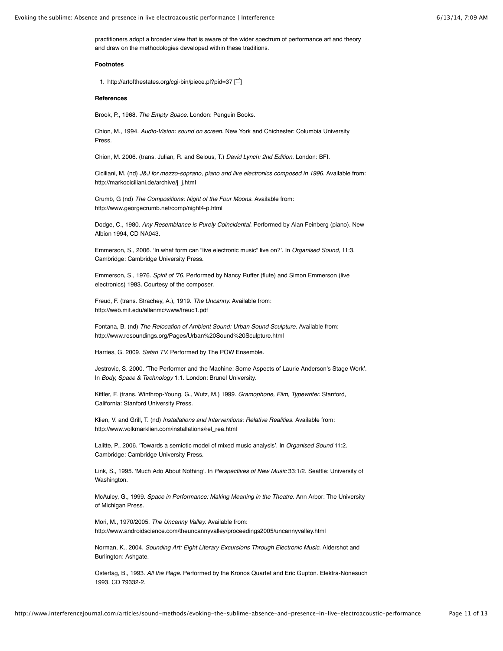practitioners adopt a broader view that is aware of the wider spectrum of performance art and theory and draw on the methodologies developed within these traditions.

## **Footnotes**

1. http://artofthestates.org/cgi-bin/piece.pl?pid=37 [[↩](http://www.interferencejournal.com/articles/sound-methods/evoking-the-sublime-absence-and-presence-in-live-electroacoustic-performance#identifier_0_2198)]

# **References**

Brook, P., 1968. *The Empty Space.* London: Penguin Books.

Chion, M., 1994. *Audio-Vision: sound on screen.* New York and Chichester: Columbia University Press.

Chion, M. 2006. (trans. Julian, R. and Selous, T.) *David Lynch: 2nd Edition.* London: BFI.

Ciciliani, M. (nd) *J&J for mezzo-soprano, piano and live electronics composed in 1996.* Available from: http://markociciliani.de/archive/j\_j.html

Crumb, G (nd) *The Compositions: Night of the Four Moons.* Available from: http://www.georgecrumb.net/comp/night4-p.html

Dodge, C., 1980. *Any Resemblance is Purely Coincidental.* Performed by Alan Feinberg (piano). New Albion 1994, CD NA043.

Emmerson, S., 2006. 'In what form can "live electronic music" live on?'. In *Organised Sound,* 11:3. Cambridge: Cambridge University Press.

Emmerson, S., 1976. *Spirit of '76.* Performed by Nancy Ruffer (flute) and Simon Emmerson (live electronics) 1983. Courtesy of the composer.

Freud, F. (trans. Strachey, A.), 1919. *The Uncanny.* Available from: http://web.mit.edu/allanmc/www/freud1.pdf

Fontana, B. (nd) *The Relocation of Ambient Sound: Urban Sound Sculpture.* Available from: http://www.resoundings.org/Pages/Urban%20Sound%20Sculpture.html

Harries, G. 2009. *Safari TV.* Performed by The POW Ensemble.

Jestrovic, S. 2000. ʻThe Performer and the Machine: Some Aspects of Laurie Anderson's Stage Work'. In *Body, Space & Technology* 1:1. London: Brunel University.

Kittler, F. (trans. Winthrop-Young, G., Wutz, M.) 1999. *Gramophone, Film, Typewriter.* Stanford, California: Stanford University Press.

Klien, V. and Grill, T. (nd) *Installations and Interventions: Relative Realities.* Available from: http://www.volkmarklien.com/installations/rel\_rea.html

Lalitte, P., 2006. 'Towards a semiotic model of mixed music analysis'. In *Organised Sound* 11:2. Cambridge: Cambridge University Press.

Link, S., 1995. 'Much Ado About Nothing'. In *Perspectives of New Music* 33:1/2. Seattle: University of Washington.

McAuley, G., 1999. *Space in Performance: Making Meaning in the Theatre.* Ann Arbor: The University of Michigan Press.

Mori, M., 1970/2005. *The Uncanny Valley.* Available from: http://www.androidscience.com/theuncannyvalley/proceedings2005/uncannyvalley.html

Norman, K., 2004. *Sounding Art: Eight Literary Excursions Through Electronic Music.* Aldershot and Burlington: Ashgate.

Ostertag, B., 1993. *All the Rage.* Performed by the Kronos Quartet and Eric Gupton. Elektra-Nonesuch 1993, CD 79332-2.